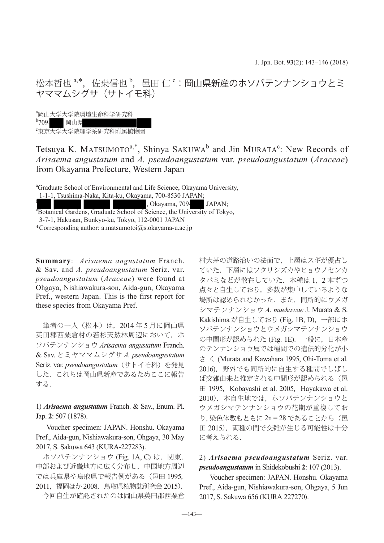松本哲也  $^{\mathrm{a},\mathrm{*}},~$ 佐桒信也  $^{\mathrm{b}},~$ 邑田 仁  $^{\mathrm{c}}$  : 岡山県新産のホソバテンナンショウとミ ヤママムシグサ (サトイモ科)

a 岡山大学大学院環境生命科学研究科  $b_{709}$ 岡山県

c 東京大学大学院理学系研究科附属植物園

Tetsuya K. MATSUMOTO<sup>a,\*</sup>, Shinya SAKUWA<sup>b</sup> and Jin MURATA<sup>c</sup>: New Records of *Arisaema angustatum* and *A. pseudoangustatum* var. *pseudoangustatum* (*Araceae*) from Okayama Prefecture, Western Japan

a Graduate School of Environmental and Life Science, Okayama University,

<sup>t</sup> Rotanical Gardens, Graduate School of Science, the University of Tokyo,

3-7-1, Hakusan, Bunkyo-ku, Tokyo, 112-0001 JAPAN

\*Corresponding author: a.matsumotoi@s.okayama-u.ac.jp

**Summary**: *Arisaema angustatum* Franch. & Sav. and *A. pseudoangustatum* Seriz. var. *pseudoangustatum* (*Araceae*) were found at Ohgaya, Nishiawakura-son, Aida-gun, Okayama Pref., western Japan. This is the first report for these species from Okayama Pref.

 筆者の一人(松本)は,2014 年 5 月に岡山県 英田郡西粟倉村の若杉天然林周辺において、ホ ソバテンナンショウ *Arisaema angustatum* Franch. & Sav. とミヤママムシグサ *A. pseudoangustatum* Seriz. var. *pseudoangustatum*(サトイモ科)を発見 した. これらは岡山県新産であるためここに報告 する.

1) *Arisaema angustatum* Franch. & Sav., Enum. Pl. Jap. **2**: 507 (1878).

Voucher specimen: JAPAN. Honshu. Okayama Pref., Aida-gun, Nishiawakura-son, Ohgaya, 30 May 2017, S. Sakuwa 643 (KURA-227283).

ホソバテンナンショウ (Fig. 1A, C) は, 関東, 中部および近畿地方に広く分布し,中国地方周辺 では兵庫県や鳥取県で報告例がある(邑田 1995, 2011,福岡ほか 2008,鳥取県植物誌研究会 2015).

今回自生が確認されたのは岡山県英田郡西粟倉

村大茅の道路沿いの法面で,上層はスギが優占し ていた.下層にはフタリシズカやヒョウノセンカ タバミなどが散在していた.本種は 1,2 本ずつ 点々と自生しており,多数が集中しているような 場所は認められなかった.また,同所的にウメガ シマテンナンショウ *A. maekawae* J. Murata & S. Kakishima が自生しており (Fig. 1B, D),一部にホ ソバテンナンショウとウメガシマテンナンショウ の中間形が認められた (Fig. 1E).一般に,日本産 のテンナンショウ属では種間での遺伝的分化が小 さ く (Murata and Kawahara 1995, Ohi-Toma et al. 2016),野外でも同所的に自生する種間でしばし ば交雑由来と推定される中間形が認められる(邑 ⊞ 1995, Kobayashi et al. 2005, Hayakawa et al. 2010).本自生地では,ホソバテンナンショウと ウメガシマテンナンショウの花期が重複してお り,染色体数もともに 2n = 28 であることから (邑 田 2015), 両種の間で交雑が生じる可能性は十分 に考えられる.

## 2) *Arisaema pseudoangustatum* Seriz. var. *pseudoangustatum* in Shidekobushi **2**: 107 (2013).

Voucher specimen: JAPAN. Honshu. Okayama Pref., Aida-gun, Nishiawakura-son, Ohgaya, 5 Jun 2017, S. Sakuwa 656 (KURA 227270).

 <sup>1-1-1,</sup> Tsushima-Naka, Kita-ku, Okayama, 700-8530 JAPAN;